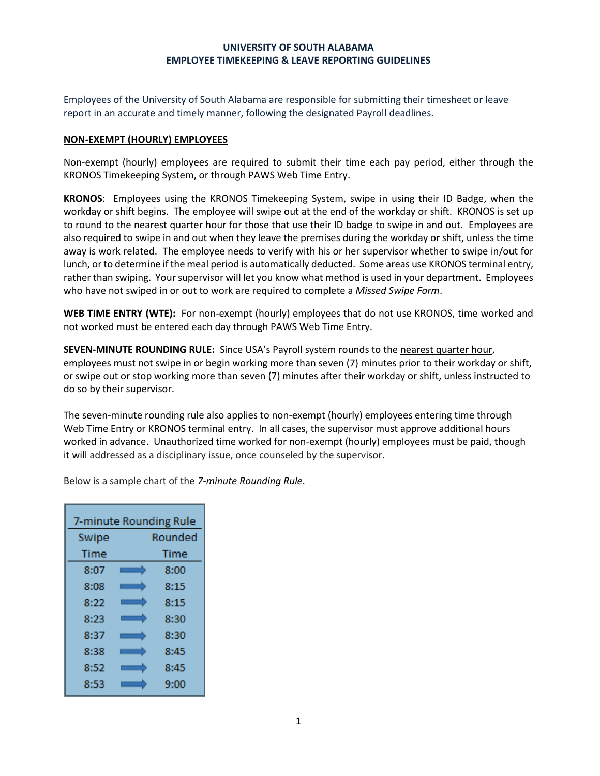### **UNIVERSITY OF SOUTH ALABAMA EMPLOYEE TIMEKEEPING & LEAVE REPORTING GUIDELINES**

Employees of the University of South Alabama are responsible for submitting their timesheet or leave report in an accurate and timely manner, following the designated Payroll deadlines.

### **NON-EXEMPT (HOURLY) EMPLOYEES**

Non-exempt (hourly) employees are required to submit their time each pay period, either through the KRONOS Timekeeping System, or through PAWS Web Time Entry.

**KRONOS**: Employees using the KRONOS Timekeeping System, swipe in using their ID Badge, when the workday or shift begins. The employee will swipe out at the end of the workday or shift. KRONOS is set up to round to the nearest quarter hour for those that use their ID badge to swipe in and out. Employees are also required to swipe in and out when they leave the premises during the workday or shift, unless the time away is work related. The employee needs to verify with his or her supervisor whether to swipe in/out for lunch, or to determine if the meal period is automatically deducted. Some areas use KRONOS terminal entry, rather than swiping. Your supervisor will let you know what method is used in your department. Employees who have not swiped in or out to work are required to complete a *Missed Swipe Form*.

**WEB TIME ENTRY (WTE):** For non-exempt (hourly) employees that do not use KRONOS, time worked and not worked must be entered each day through PAWS Web Time Entry.

**SEVEN-MINUTE ROUNDING RULE:** Since USA's Payroll system rounds to the nearest quarter hour, employees must not swipe in or begin working more than seven (7) minutes prior to their workday or shift, or swipe out or stop working more than seven (7) minutes after their workday or shift, unless instructed to do so by their supervisor.

The seven-minute rounding rule also applies to non-exempt (hourly) employees entering time through Web Time Entry or KRONOS terminal entry. In all cases, the supervisor must approve additional hours worked in advance. Unauthorized time worked for non-exempt (hourly) employees must be paid, though it will addressed as a disciplinary issue, once counseled by the supervisor.

Below is a sample chart of the *7-minute Rounding Rule*.

| 7-minute Rounding Rule |  |         |
|------------------------|--|---------|
| Swipe                  |  | Rounded |
| Time                   |  | Time    |
| 8:07                   |  | 8:00    |
| 8:08                   |  | 8:15    |
| 8:22                   |  | 8:15    |
| 8:23                   |  | 8:30    |
| 8:37                   |  | 8:30    |
| 8:38                   |  | 8:45    |
| 8:52                   |  | 8:45    |
| 8:53                   |  | 9:00    |